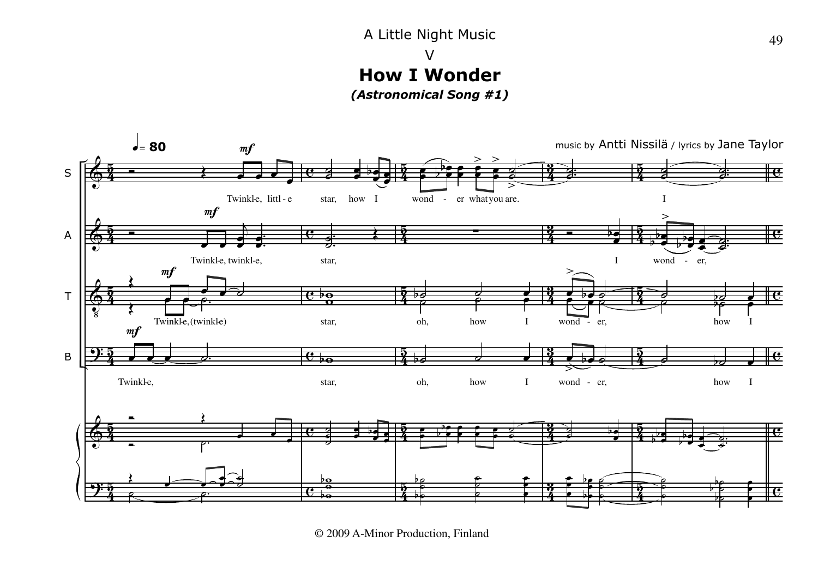## A Little Night Music  $\vee$

**How I Wonder** 

(Astronomical Song #1)



© 2009 A-Minor Production, Finland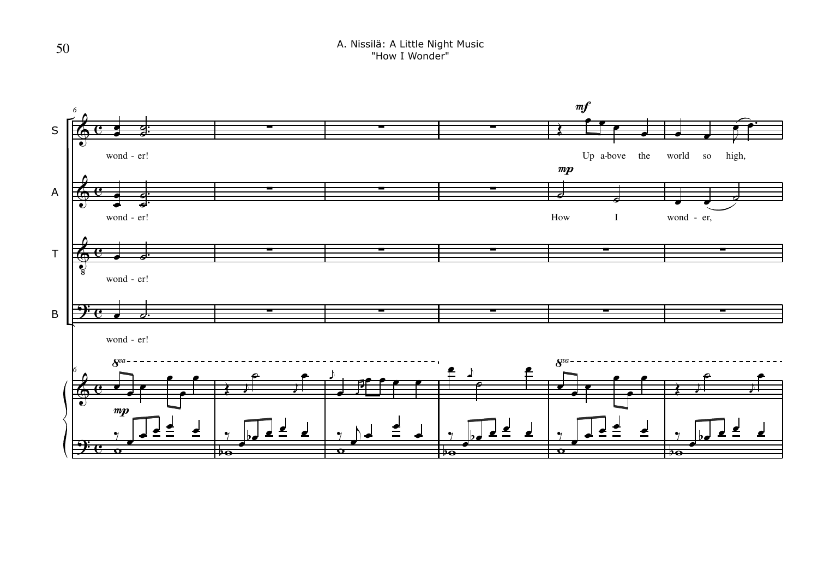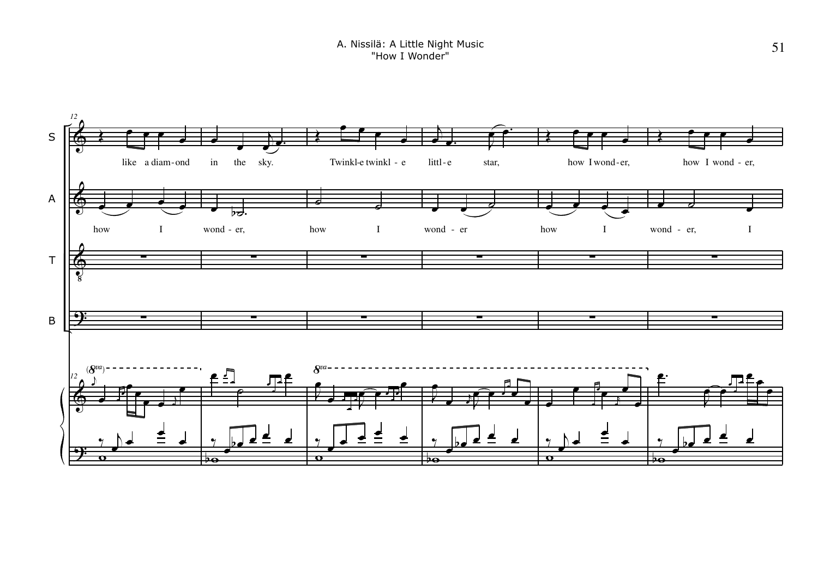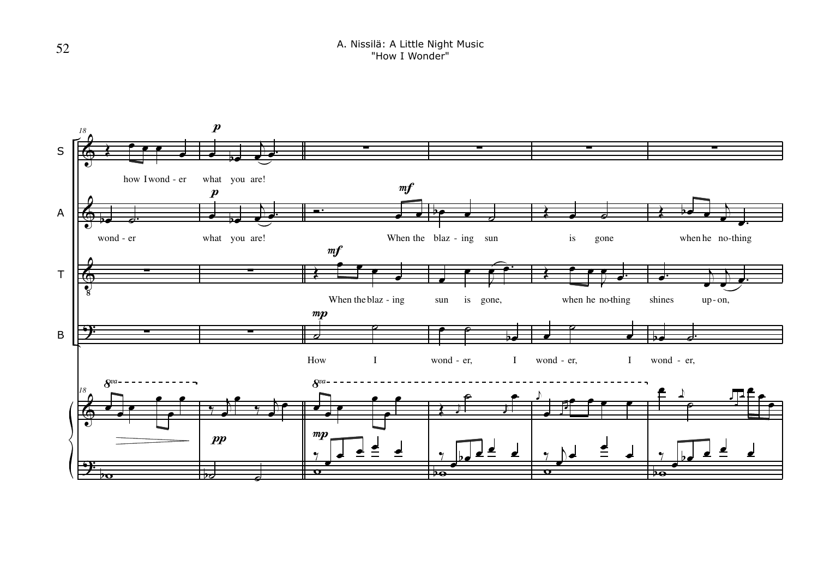## A. Nissilä: A Little Night Music 52 A. Nissila: A Little Night<br>"How I Wonder"

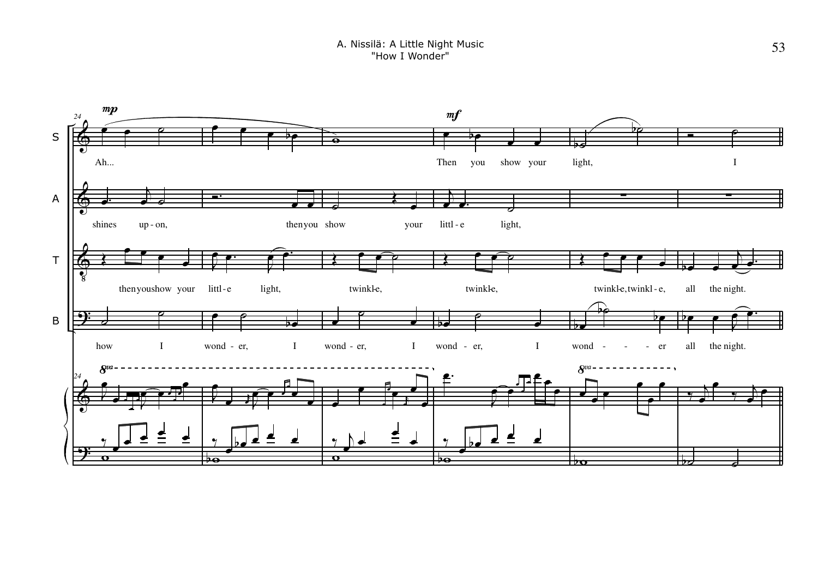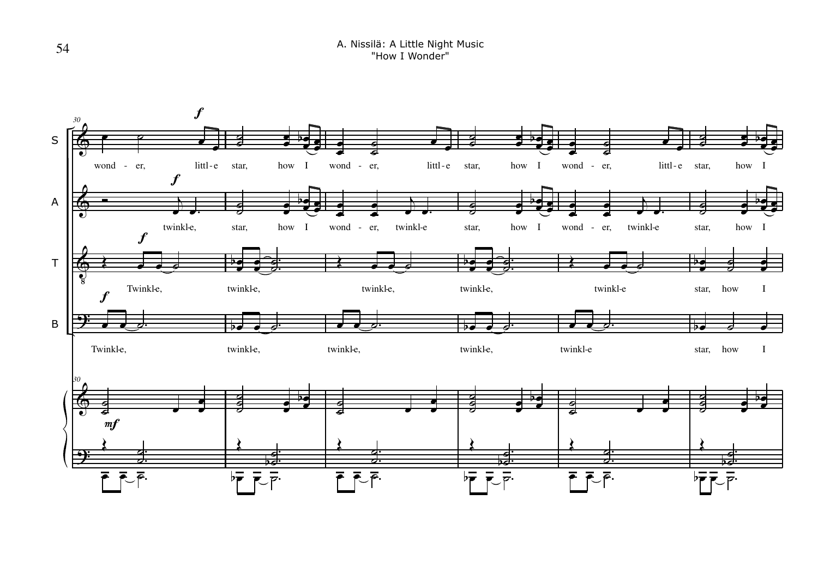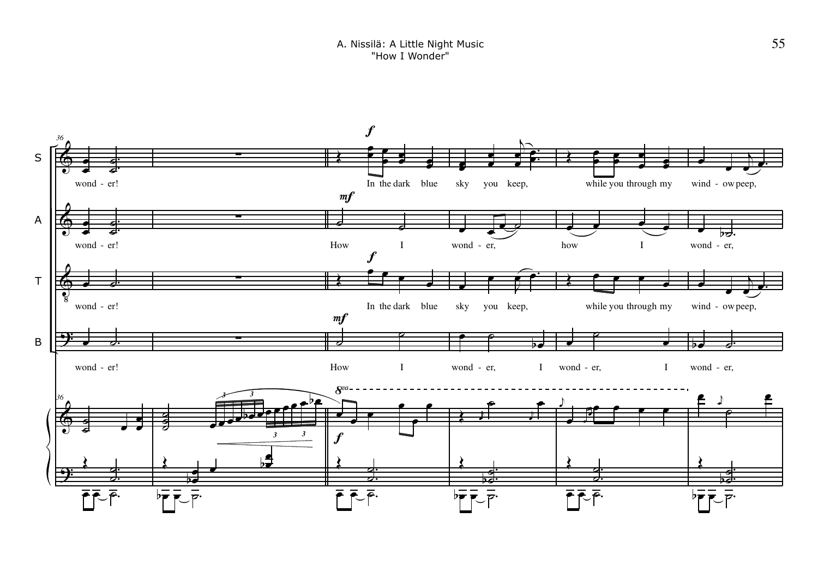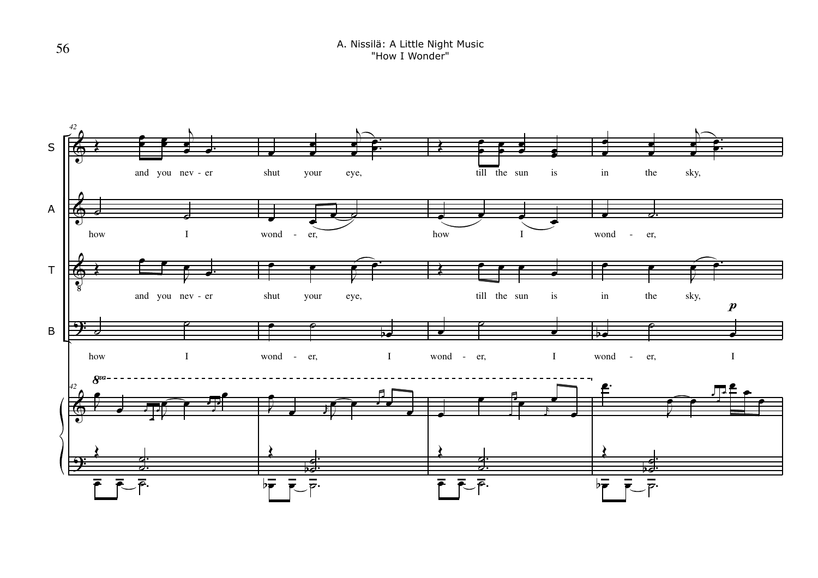